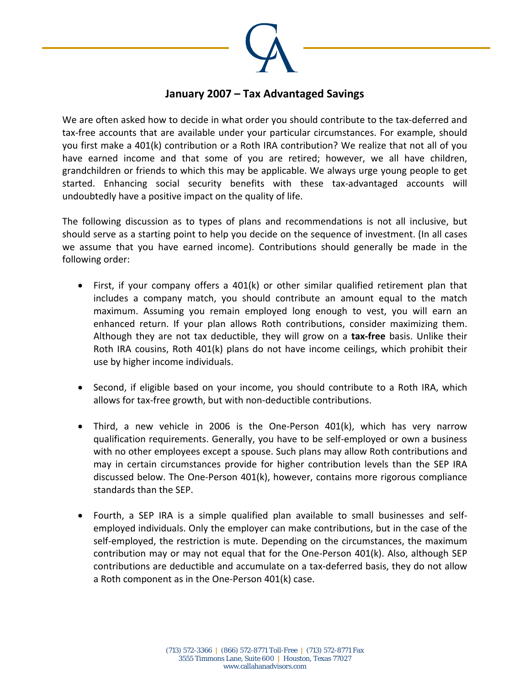

## **January 2007 – Tax Advantaged Savings**

We are often asked how to decide in what order you should contribute to the tax-deferred and tax‐free accounts that are available under your particular circumstances. For example, should you first make a 401(k) contribution or a Roth IRA contribution? We realize that not all of you have earned income and that some of you are retired; however, we all have children, grandchildren or friends to which this may be applicable. We always urge young people to get started. Enhancing social security benefits with these tax-advantaged accounts will undoubtedly have a positive impact on the quality of life.

The following discussion as to types of plans and recommendations is not all inclusive, but should serve as a starting point to help you decide on the sequence of investment. (In all cases we assume that you have earned income). Contributions should generally be made in the following order:

- First, if your company offers a 401(k) or other similar qualified retirement plan that includes a company match, you should contribute an amount equal to the match maximum. Assuming you remain employed long enough to vest, you will earn an enhanced return. If your plan allows Roth contributions, consider maximizing them. Although they are not tax deductible, they will grow on a **tax‐free** basis. Unlike their Roth IRA cousins, Roth 401(k) plans do not have income ceilings, which prohibit their use by higher income individuals.
- Second, if eligible based on your income, you should contribute to a Roth IRA, which allows for tax‐free growth, but with non‐deductible contributions.
- Third, a new vehicle in 2006 is the One‐Person 401(k), which has very narrow qualification requirements. Generally, you have to be self‐employed or own a business with no other employees except a spouse. Such plans may allow Roth contributions and may in certain circumstances provide for higher contribution levels than the SEP IRA discussed below. The One‐Person 401(k), however, contains more rigorous compliance standards than the SEP.
- Fourth, a SEP IRA is a simple qualified plan available to small businesses and self‐ employed individuals. Only the employer can make contributions, but in the case of the self-employed, the restriction is mute. Depending on the circumstances, the maximum contribution may or may not equal that for the One‐Person 401(k). Also, although SEP contributions are deductible and accumulate on a tax‐deferred basis, they do not allow a Roth component as in the One‐Person 401(k) case.